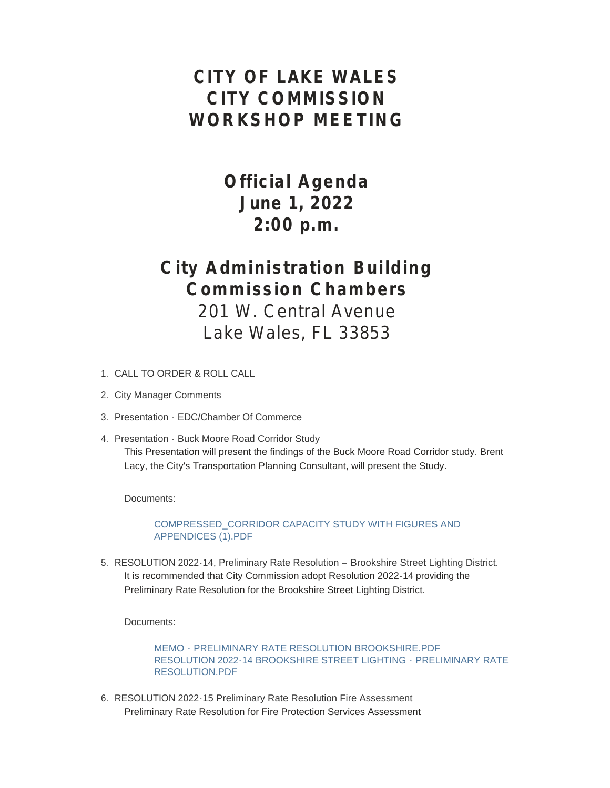## **CITY OF LAKE WALES CITY COMMISSION WORKSHOP MEETING**

# **Official Agenda June 1, 2022 2:00 p.m.**

## **City Administration Building Commission Chambers**

201 W. Central Avenue Lake Wales, FL 33853

- CALL TO ORDER & ROLL CALL 1.
- 2. City Manager Comments
- 3. Presentation EDC/Chamber Of Commerce
- 4. Presentation Buck Moore Road Corridor Study This Presentation will present the findings of the Buck Moore Road Corridor study. Brent Lacy, the City's Transportation Planning Consultant, will present the Study.

Documents:

[COMPRESSED\\_CORRIDOR CAPACITY STUDY WITH FIGURES AND](https://www.lakewalesfl.gov/AgendaCenter/ViewFile/Item/11238?fileID=13142)  APPENDICES (1).PDF

5. RESOLUTION 2022-14, Preliminary Rate Resolution - Brookshire Street Lighting District. It is recommended that City Commission adopt Resolution 2022-14 providing the Preliminary Rate Resolution for the Brookshire Street Lighting District.

Documents:

MEMO - [PRELIMINARY RATE RESOLUTION BROOKSHIRE.PDF](https://www.lakewalesfl.gov/AgendaCenter/ViewFile/Item/11188?fileID=13016) [RESOLUTION 2022-14 BROOKSHIRE STREET LIGHTING -](https://www.lakewalesfl.gov/AgendaCenter/ViewFile/Item/11188?fileID=13017) PRELIMINARY RATE RESOLUTION.PDF

6. RESOLUTION 2022-15 Preliminary Rate Resolution Fire Assessment Preliminary Rate Resolution for Fire Protection Services Assessment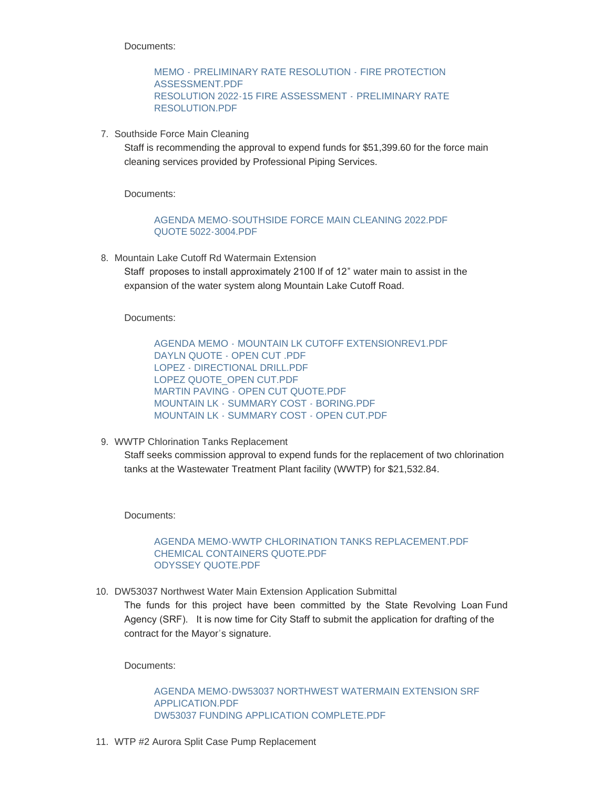Documents:

MEMO - [PRELIMINARY RATE RESOLUTION -](https://www.lakewalesfl.gov/AgendaCenter/ViewFile/Item/11189?fileID=13018) FIRE PROTECTION ASSESSMENT.PDF [RESOLUTION 2022-15 FIRE ASSESSMENT -](https://www.lakewalesfl.gov/AgendaCenter/ViewFile/Item/11189?fileID=13019) PRELIMINARY RATE RESOLUTION.PDF

7. Southside Force Main Cleaning

Staff is recommending the approval to expend funds for \$51,399.60 for the force main cleaning services provided by Professional Piping Services.

Documents:

### [AGENDA MEMO-SOUTHSIDE FORCE MAIN CLEANING 2022.PDF](https://www.lakewalesfl.gov/AgendaCenter/ViewFile/Item/11233?fileID=13130) [QUOTE 5022-3004.PDF](https://www.lakewalesfl.gov/AgendaCenter/ViewFile/Item/11233?fileID=13125)

8. Mountain Lake Cutoff Rd Watermain Extension

Staff proposes to install approximately 2100 lf of 12" water main to assist in the expansion of the water system along Mountain Lake Cutoff Road.

Documents:

AGENDA MEMO - [MOUNTAIN LK CUTOFF EXTENSIONREV1.PDF](https://www.lakewalesfl.gov/AgendaCenter/ViewFile/Item/11229?fileID=13128) [DAYLN QUOTE - OPEN CUT .PDF](https://www.lakewalesfl.gov/AgendaCenter/ViewFile/Item/11229?fileID=13107) [LOPEZ - DIRECTIONAL DRILL.PDF](https://www.lakewalesfl.gov/AgendaCenter/ViewFile/Item/11229?fileID=13108) [LOPEZ QUOTE\\_OPEN CUT.PDF](https://www.lakewalesfl.gov/AgendaCenter/ViewFile/Item/11229?fileID=13109) [MARTIN PAVING - OPEN CUT QUOTE.PDF](https://www.lakewalesfl.gov/AgendaCenter/ViewFile/Item/11229?fileID=13110) [MOUNTAIN LK - SUMMARY COST - BORING.PDF](https://www.lakewalesfl.gov/AgendaCenter/ViewFile/Item/11229?fileID=13111) [MOUNTAIN LK - SUMMARY COST - OPEN CUT.PDF](https://www.lakewalesfl.gov/AgendaCenter/ViewFile/Item/11229?fileID=13112)

WWTP Chlorination Tanks Replacement 9.

Staff seeks commission approval to expend funds for the replacement of two chlorination tanks at the Wastewater Treatment Plant facility (WWTP) for \$21,532.84.

Documents:

[AGENDA MEMO-WWTP CHLORINATION TANKS REPLACEMENT.PDF](https://www.lakewalesfl.gov/AgendaCenter/ViewFile/Item/11206?fileID=13049) [CHEMICAL CONTAINERS QUOTE.PDF](https://www.lakewalesfl.gov/AgendaCenter/ViewFile/Item/11206?fileID=13050) [ODYSSEY QUOTE.PDF](https://www.lakewalesfl.gov/AgendaCenter/ViewFile/Item/11206?fileID=13051)

10. DW53037 Northwest Water Main Extension Application Submittal

The funds for this project have been committed by the State Revolving Loan Fund Agency (SRF). It is now time for City Staff to submit the application for drafting of the contract for the Mayor's signature.

Documents:

[AGENDA MEMO-DW53037 NORTHWEST WATERMAIN EXTENSION SRF](https://www.lakewalesfl.gov/AgendaCenter/ViewFile/Item/11202?fileID=13037)  APPLICATION.PDF [DW53037 FUNDING APPLICATION COMPLETE.PDF](https://www.lakewalesfl.gov/AgendaCenter/ViewFile/Item/11202?fileID=13038)

11. WTP #2 Aurora Split Case Pump Replacement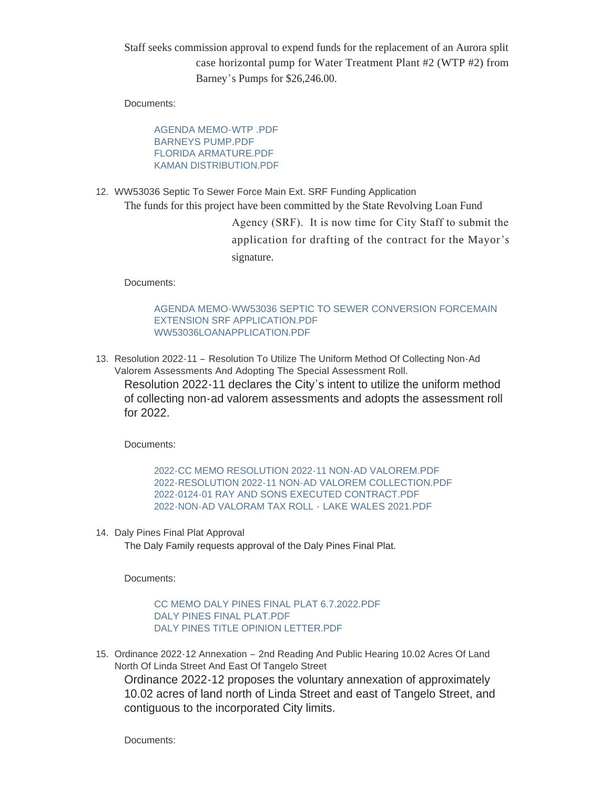Staff seeks commission approval to expend funds for the replacement of an Aurora split case horizontal pump for Water Treatment Plant #2 (WTP #2) from Barney's Pumps for \$26,246.00.

Documents:

AGENDA MEMO-WTP PDF [BARNEYS PUMP.PDF](https://www.lakewalesfl.gov/AgendaCenter/ViewFile/Item/11204?fileID=13042) [FLORIDA ARMATURE.PDF](https://www.lakewalesfl.gov/AgendaCenter/ViewFile/Item/11204?fileID=13043) [KAMAN DISTRIBUTION.PDF](https://www.lakewalesfl.gov/AgendaCenter/ViewFile/Item/11204?fileID=13044)

WW53036 Septic To Sewer Force Main Ext. SRF Funding Application 12. The funds for this project have been committed by the State Revolving Loan Fund

> Agency (SRF). It is now time for City Staff to submit the application for drafting of the contract for the Mayor's signature.

Documents:

[AGENDA MEMO-WW53036 SEPTIC TO SEWER CONVERSION FORCEMAIN](https://www.lakewalesfl.gov/AgendaCenter/ViewFile/Item/11230?fileID=13113)  EXTENSION SRF APPLICATION.PDF [WW53036LOANAPPLICATION.PDF](https://www.lakewalesfl.gov/AgendaCenter/ViewFile/Item/11230?fileID=13114)

13. Resolution 2022-11 - Resolution To Utilize The Uniform Method Of Collecting Non-Ad Valorem Assessments And Adopting The Special Assessment Roll. Resolution 2022-11 declares the City's intent to utilize the uniform method of collecting non-ad valorem assessments and adopts the assessment roll for 2022.

Documents:

[2022-CC MEMO RESOLUTION 2022-11 NON-AD VALOREM.PDF](https://www.lakewalesfl.gov/AgendaCenter/ViewFile/Item/11235?fileID=13131) [2022-RESOLUTION 2022-11 NON-AD VALOREM COLLECTION.PDF](https://www.lakewalesfl.gov/AgendaCenter/ViewFile/Item/11235?fileID=13138) [2022-0124-01 RAY AND SONS EXECUTED CONTRACT.PDF](https://www.lakewalesfl.gov/AgendaCenter/ViewFile/Item/11235?fileID=13133) [2022-NON-AD VALORAM TAX ROLL -](https://www.lakewalesfl.gov/AgendaCenter/ViewFile/Item/11235?fileID=13137) LAKE WALES 2021.PDF

14. Daly Pines Final Plat Approval

The Daly Family requests approval of the Daly Pines Final Plat.

Documents:

[CC MEMO DALY PINES FINAL PLAT 6.7.2022.PDF](https://www.lakewalesfl.gov/AgendaCenter/ViewFile/Item/11207?fileID=13052) [DALY PINES FINAL PLAT.PDF](https://www.lakewalesfl.gov/AgendaCenter/ViewFile/Item/11207?fileID=13053) [DALY PINES TITLE OPINION LETTER.PDF](https://www.lakewalesfl.gov/AgendaCenter/ViewFile/Item/11207?fileID=13054)

15. Ordinance 2022-12 Annexation - 2nd Reading And Public Hearing 10.02 Acres Of Land North Of Linda Street And East Of Tangelo Street

Ordinance 2022-12 proposes the voluntary annexation of approximately 10.02 acres of land north of Linda Street and east of Tangelo Street, and contiguous to the incorporated City limits.

Documents: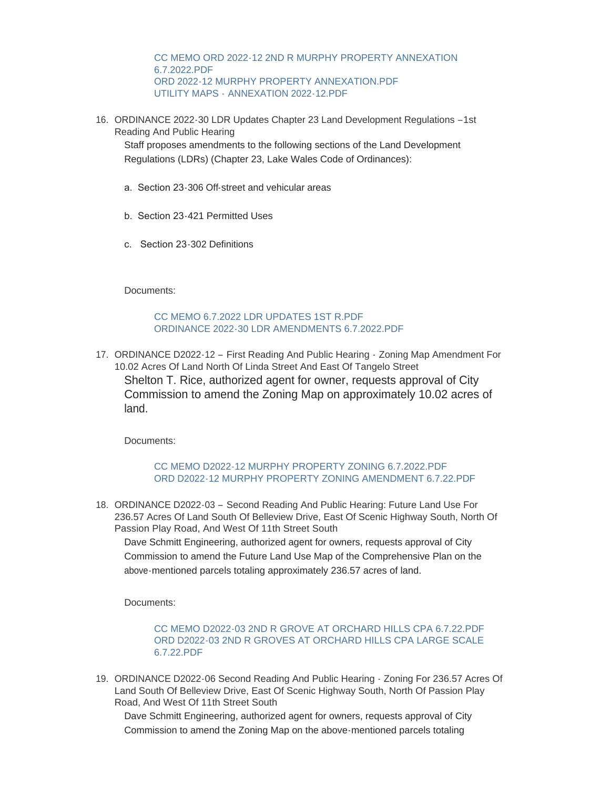[CC MEMO ORD 2022-12 2ND R MURPHY PROPERTY ANNEXATION](https://www.lakewalesfl.gov/AgendaCenter/ViewFile/Item/11220?fileID=13084)  6.7.2022.PDF [ORD 2022-12 MURPHY PROPERTY ANNEXATION.PDF](https://www.lakewalesfl.gov/AgendaCenter/ViewFile/Item/11220?fileID=13085) UTILITY MAPS - [ANNEXATION 2022-12.PDF](https://www.lakewalesfl.gov/AgendaCenter/ViewFile/Item/11220?fileID=13086)

16. ORDINANCE 2022-30 LDR Updates Chapter 23 Land Development Regulations -1st Reading And Public Hearing

Staff proposes amendments to the following sections of the Land Development Regulations (LDRs) (Chapter 23, Lake Wales Code of Ordinances):

- a. Section 23-306 Off-street and vehicular areas
- b. Section 23-421 Permitted Uses
- c. Section 23-302 Definitions

Documents:

[CC MEMO 6.7.2022 LDR UPDATES 1ST R.PDF](https://www.lakewalesfl.gov/AgendaCenter/ViewFile/Item/11225?fileID=13096) [ORDINANCE 2022-30 LDR AMENDMENTS 6.7.2022.PDF](https://www.lakewalesfl.gov/AgendaCenter/ViewFile/Item/11225?fileID=13097)

17. ORDINANCE D2022-12 - First Reading And Public Hearing - Zoning Map Amendment For 10.02 Acres Of Land North Of Linda Street And East Of Tangelo Street Shelton T. Rice, authorized agent for owner, requests approval of City Commission to amend the Zoning Map on approximately 10.02 acres of land.

Documents:

### [CC MEMO D2022-12 MURPHY PROPERTY ZONING 6.7.2022.PDF](https://www.lakewalesfl.gov/AgendaCenter/ViewFile/Item/11224?fileID=13094) [ORD D2022-12 MURPHY PROPERTY ZONING AMENDMENT 6.7.22.PDF](https://www.lakewalesfl.gov/AgendaCenter/ViewFile/Item/11224?fileID=13095)

18. ORDINANCE D2022-03 - Second Reading And Public Hearing: Future Land Use For 236.57 Acres Of Land South Of Belleview Drive, East Of Scenic Highway South, North Of Passion Play Road, And West Of 11th Street South

Dave Schmitt Engineering, authorized agent for owners, requests approval of City Commission to amend the Future Land Use Map of the Comprehensive Plan on the above-mentioned parcels totaling approximately 236.57 acres of land.

Documents:

#### [CC MEMO D2022-03 2ND R GROVE AT ORCHARD HILLS CPA 6.7.22.PDF](https://www.lakewalesfl.gov/AgendaCenter/ViewFile/Item/11210?fileID=13061) [ORD D2022-03 2ND R GROVES AT ORCHARD HILLS CPA LARGE SCALE](https://www.lakewalesfl.gov/AgendaCenter/ViewFile/Item/11210?fileID=13062)  6.7.22.PDF

19. ORDINANCE D2022-06 Second Reading And Public Hearing - Zoning For 236.57 Acres Of Land South Of Belleview Drive, East Of Scenic Highway South, North Of Passion Play Road, And West Of 11th Street South

Dave Schmitt Engineering, authorized agent for owners, requests approval of City Commission to amend the Zoning Map on the above-mentioned parcels totaling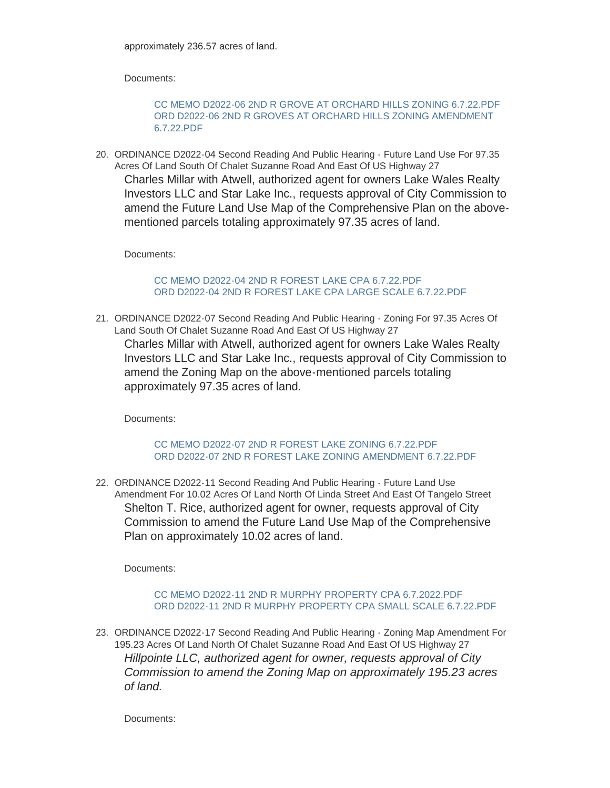Documents:

[CC MEMO D2022-06 2ND R GROVE AT ORCHARD HILLS ZONING 6.7.22.PDF](https://www.lakewalesfl.gov/AgendaCenter/ViewFile/Item/11211?fileID=13063) [ORD D2022-06 2ND R GROVES AT ORCHARD HILLS ZONING AMENDMENT](https://www.lakewalesfl.gov/AgendaCenter/ViewFile/Item/11211?fileID=13064)  6.7.22.PDF

20. ORDINANCE D2022-04 Second Reading And Public Hearing - Future Land Use For 97.35 Acres Of Land South Of Chalet Suzanne Road And East Of US Highway 27 Charles Millar with Atwell, authorized agent for owners Lake Wales Realty Investors LLC and Star Lake Inc., requests approval of City Commission to amend the Future Land Use Map of the Comprehensive Plan on the abovementioned parcels totaling approximately 97.35 acres of land.

Documents:

[CC MEMO D2022-04 2ND R FOREST LAKE CPA 6.7.22.PDF](https://www.lakewalesfl.gov/AgendaCenter/ViewFile/Item/11212?fileID=13066) [ORD D2022-04 2ND R FOREST LAKE CPA LARGE SCALE 6.7.22.PDF](https://www.lakewalesfl.gov/AgendaCenter/ViewFile/Item/11212?fileID=13067)

21. ORDINANCE D2022-07 Second Reading And Public Hearing - Zoning For 97.35 Acres Of Land South Of Chalet Suzanne Road And East Of US Highway 27 Charles Millar with Atwell, authorized agent for owners Lake Wales Realty Investors LLC and Star Lake Inc., requests approval of City Commission to amend the Zoning Map on the above-mentioned parcels totaling approximately 97.35 acres of land.

Documents:

[CC MEMO D2022-07 2ND R FOREST LAKE ZONING 6.7.22.PDF](https://www.lakewalesfl.gov/AgendaCenter/ViewFile/Item/11216?fileID=13074) [ORD D2022-07 2ND R FOREST LAKE ZONING AMENDMENT 6.7.22.PDF](https://www.lakewalesfl.gov/AgendaCenter/ViewFile/Item/11216?fileID=13075)

22. ORDINANCE D2022-11 Second Reading And Public Hearing - Future Land Use Amendment For 10.02 Acres Of Land North Of Linda Street And East Of Tangelo Street Shelton T. Rice, authorized agent for owner, requests approval of City Commission to amend the Future Land Use Map of the Comprehensive Plan on approximately 10.02 acres of land.

Documents:

[CC MEMO D2022-11 2ND R MURPHY PROPERTY CPA 6.7.2022.PDF](https://www.lakewalesfl.gov/AgendaCenter/ViewFile/Item/11222?fileID=13090) [ORD D2022-11 2ND R MURPHY PROPERTY CPA SMALL SCALE 6.7.22.PDF](https://www.lakewalesfl.gov/AgendaCenter/ViewFile/Item/11222?fileID=13091)

23. ORDINANCE D2022-17 Second Reading And Public Hearing - Zoning Map Amendment For 195.23 Acres Of Land North Of Chalet Suzanne Road And East Of US Highway 27 *Hillpointe LLC, authorized agent for owner, requests approval of City Commission to amend the Zoning Map on approximately 195.23 acres of land.*

Documents: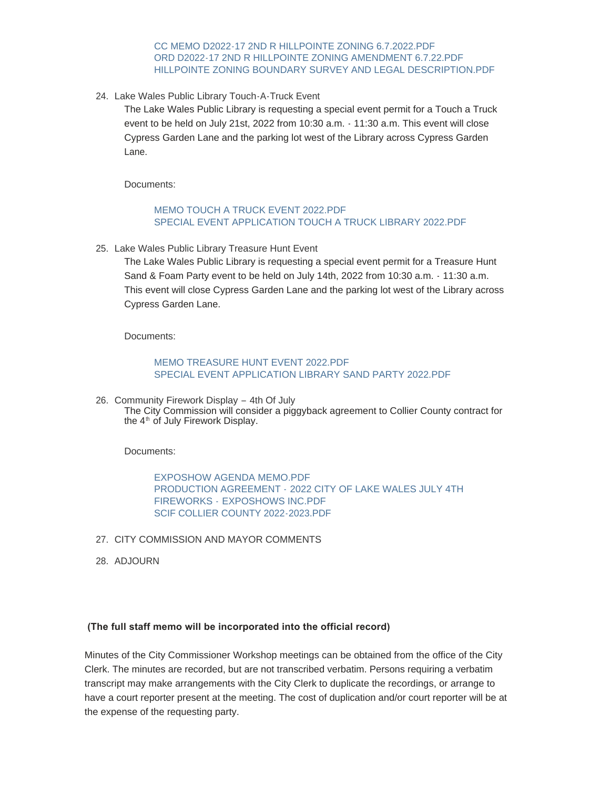[CC MEMO D2022-17 2ND R HILLPOINTE ZONING 6.7.2022.PDF](https://www.lakewalesfl.gov/AgendaCenter/ViewFile/Item/11218?fileID=13078) [ORD D2022-17 2ND R HILLPOINTE ZONING AMENDMENT 6.7.22.PDF](https://www.lakewalesfl.gov/AgendaCenter/ViewFile/Item/11218?fileID=13079) [HILLPOINTE ZONING BOUNDARY SURVEY AND LEGAL DESCRIPTION.PDF](https://www.lakewalesfl.gov/AgendaCenter/ViewFile/Item/11218?fileID=13080)

24. Lake Wales Public Library Touch-A-Truck Event

The Lake Wales Public Library is requesting a special event permit for a Touch a Truck event to be held on July 21st, 2022 from 10:30 a.m. - 11:30 a.m. This event will close Cypress Garden Lane and the parking lot west of the Library across Cypress Garden Lane.

Documents:

#### [MEMO TOUCH A TRUCK EVENT 2022.PDF](https://www.lakewalesfl.gov/AgendaCenter/ViewFile/Item/11198?fileID=13025) [SPECIAL EVENT APPLICATION TOUCH A TRUCK LIBRARY 2022.PDF](https://www.lakewalesfl.gov/AgendaCenter/ViewFile/Item/11198?fileID=13026)

25. Lake Wales Public Library Treasure Hunt Event

The Lake Wales Public Library is requesting a special event permit for a Treasure Hunt Sand & Foam Party event to be held on July 14th, 2022 from 10:30 a.m. - 11:30 a.m. This event will close Cypress Garden Lane and the parking lot west of the Library across Cypress Garden Lane.

Documents:

#### [MEMO TREASURE HUNT EVENT 2022.PDF](https://www.lakewalesfl.gov/AgendaCenter/ViewFile/Item/11199?fileID=13027) [SPECIAL EVENT APPLICATION LIBRARY SAND PARTY 2022.PDF](https://www.lakewalesfl.gov/AgendaCenter/ViewFile/Item/11199?fileID=13028)

26. Community Firework Display - 4th Of July The City Commission will consider a piggyback agreement to Collier County contract for the  $4<sup>th</sup>$  of July Firework Display.

Documents:

[EXPOSHOW AGENDA MEMO.PDF](https://www.lakewalesfl.gov/AgendaCenter/ViewFile/Item/11227?fileID=13100) PRODUCTION AGREEMENT - [2022 CITY OF LAKE WALES JULY 4TH](https://www.lakewalesfl.gov/AgendaCenter/ViewFile/Item/11227?fileID=13101)  FIREWORKS - EXPOSHOWS INC.PDF [SCIF COLLIER COUNTY 2022-2023.PDF](https://www.lakewalesfl.gov/AgendaCenter/ViewFile/Item/11227?fileID=13102)

- 27. CITY COMMISSION AND MAYOR COMMENTS
- 28. ADJOURN

#### **(The full staff memo will be incorporated into the official record)**

Minutes of the City Commissioner Workshop meetings can be obtained from the office of the City Clerk. The minutes are recorded, but are not transcribed verbatim. Persons requiring a verbatim transcript may make arrangements with the City Clerk to duplicate the recordings, or arrange to have a court reporter present at the meeting. The cost of duplication and/or court reporter will be at the expense of the requesting party.